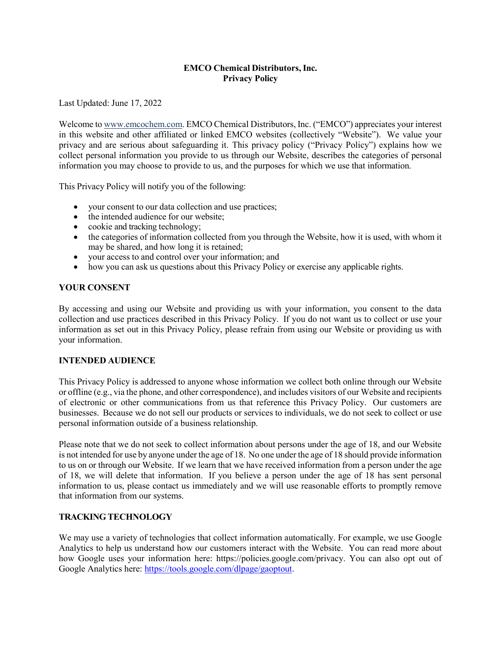## **EMCO Chemical Distributors, Inc. Privacy Policy**

Last Updated: June 17, 2022

Welcome to [www.emcochem.com. E](http://www.emcochem.com/)MCO Chemical Distributors, Inc. ("EMCO") appreciates your interest in this website and other affiliated or linked EMCO websites (collectively "Website"). We value your privacy and are serious about safeguarding it. This privacy policy ("Privacy Policy") explains how we collect personal information you provide to us through our Website, describes the categories of personal information you may choose to provide to us, and the purposes for which we use that information.

This Privacy Policy will notify you of the following:

- your consent to our data collection and use practices;
- the intended audience for our website;
- cookie and tracking technology;
- the categories of information collected from you through the Website, how it is used, with whom it may be shared, and how long it is retained;
- your access to and control over your information; and
- how you can ask us questions about this Privacy Policy or exercise any applicable rights.

#### **YOUR CONSENT**

By accessing and using our Website and providing us with your information, you consent to the data collection and use practices described in this Privacy Policy. If you do not want us to collect or use your information as set out in this Privacy Policy, please refrain from using our Website or providing us with your information.

#### **INTENDED AUDIENCE**

This Privacy Policy is addressed to anyone whose information we collect both online through our Website or offline (e.g., via the phone, and other correspondence), and includes visitors of our Website and recipients of electronic or other communications from us that reference this Privacy Policy. Our customers are businesses. Because we do not sell our products or services to individuals, we do not seek to collect or use personal information outside of a business relationship.

Please note that we do not seek to collect information about persons under the age of 18, and our Website is not intended for use by anyone under the age of 18. No one under the age of 18 should provide information to us on or through our Website. If we learn that we have received information from a person under the age of 18, we will delete that information. If you believe a person under the age of 18 has sent personal information to us, please contact us immediately and we will use reasonable efforts to promptly remove that information from our systems.

#### **TRACKING TECHNOLOGY**

We may use a variety of technologies that collect information automatically. For example, we use Google Analytics to help us understand how our customers interact with the Website. You can read more about how Google uses your information here: https://policies.google.com/privacy. You can also opt out of Google Analytics here: [https://tools.google.com/dlpage/gaoptout.](https://tools.google.com/dlpage/gaoptout)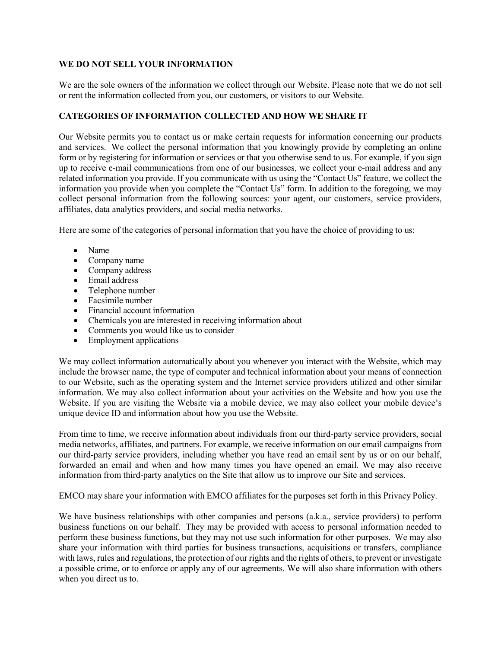#### **WE DO NOT SELL YOUR INFORMATION**

We are the sole owners of the information we collect through our Website. Please note that we do not sell or rent the information collected from you, our customers, or visitors to our Website.

## **CATEGORIES OF INFORMATION COLLECTED AND HOW WE SHARE IT**

Our Website permits you to contact us or make certain requests for information concerning our products and services. We collect the personal information that you knowingly provide by completing an online form or by registering for information or services or that you otherwise send to us. For example, if you sign up to receive e-mail communications from one of our businesses, we collect your e-mail address and any related information you provide. If you communicate with us using the "Contact Us" feature, we collect the information you provide when you complete the "Contact Us" form. In addition to the foregoing, we may collect personal information from the following sources: your agent, our customers, service providers, affiliates, data analytics providers, and social media networks.

Here are some of the categories of personal information that you have the choice of providing to us:

- Name
- Company name
- Company address
- Email address
- Telephone number
- Facsimile number
- Financial account information
- Chemicals you are interested in receiving information about
- Comments you would like us to consider
- Employment applications

We may collect information automatically about you whenever you interact with the Website, which may include the browser name, the type of computer and technical information about your means of connection to our Website, such as the operating system and the Internet service providers utilized and other similar information. We may also collect information about your activities on the Website and how you use the Website. If you are visiting the Website via a mobile device, we may also collect your mobile device's unique device ID and information about how you use the Website.

From time to time, we receive information about individuals from our third-party service providers, social media networks, affiliates, and partners. For example, we receive information on our email campaigns from our third-party service providers, including whether you have read an email sent by us or on our behalf, forwarded an email and when and how many times you have opened an email. We may also receive information from third-party analytics on the Site that allow us to improve our Site and services.

EMCO may share your information with EMCO affiliates for the purposes set forth in this Privacy Policy.

We have business relationships with other companies and persons (a.k.a., service providers) to perform business functions on our behalf. They may be provided with access to personal information needed to perform these business functions, but they may not use such information for other purposes. We may also share your information with third parties for business transactions, acquisitions or transfers, compliance with laws, rules and regulations, the protection of our rights and the rights of others, to prevent or investigate a possible crime, or to enforce or apply any of our agreements. We will also share information with others when you direct us to.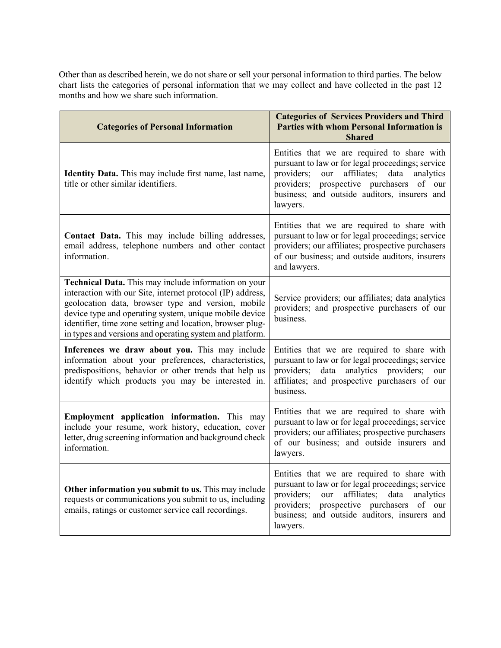Other than as described herein, we do not share or sell your personal information to third parties. The below chart lists the categories of personal information that we may collect and have collected in the past 12 months and how we share such information.

| <b>Categories of Personal Information</b>                                                                                                                                                                                                                                                                                                                   | <b>Categories of Services Providers and Third</b><br><b>Parties with whom Personal Information is</b><br><b>Shared</b>                                                                                                                                                  |
|-------------------------------------------------------------------------------------------------------------------------------------------------------------------------------------------------------------------------------------------------------------------------------------------------------------------------------------------------------------|-------------------------------------------------------------------------------------------------------------------------------------------------------------------------------------------------------------------------------------------------------------------------|
| Identity Data. This may include first name, last name,<br>title or other similar identifiers.                                                                                                                                                                                                                                                               | Entities that we are required to share with<br>pursuant to law or for legal proceedings; service<br>providers;<br>affiliates;<br>data<br>our<br>analytics<br>providers;<br>prospective purchasers<br>of our<br>business; and outside auditors, insurers and<br>lawyers. |
| Contact Data. This may include billing addresses,<br>email address, telephone numbers and other contact<br>information.                                                                                                                                                                                                                                     | Entities that we are required to share with<br>pursuant to law or for legal proceedings; service<br>providers; our affiliates; prospective purchasers<br>of our business; and outside auditors, insurers<br>and lawyers.                                                |
| Technical Data. This may include information on your<br>interaction with our Site, internet protocol (IP) address,<br>geolocation data, browser type and version, mobile<br>device type and operating system, unique mobile device<br>identifier, time zone setting and location, browser plug-<br>in types and versions and operating system and platform. | Service providers; our affiliates; data analytics<br>providers; and prospective purchasers of our<br>business.                                                                                                                                                          |
| Inferences we draw about you. This may include<br>information about your preferences, characteristics,<br>predispositions, behavior or other trends that help us<br>identify which products you may be interested in.                                                                                                                                       | Entities that we are required to share with<br>pursuant to law or for legal proceedings; service<br>analytics providers;<br>providers;<br>data<br>our<br>affiliates; and prospective purchasers of our<br>business.                                                     |
| Employment application information. This may<br>include your resume, work history, education, cover<br>letter, drug screening information and background check<br>information.                                                                                                                                                                              | Entities that we are required to share with<br>pursuant to law or for legal proceedings; service<br>providers; our affiliates; prospective purchasers<br>of our business; and outside insurers and<br>lawyers.                                                          |
| Other information you submit to us. This may include<br>requests or communications you submit to us, including<br>emails, ratings or customer service call recordings.                                                                                                                                                                                      | Entities that we are required to share with<br>pursuant to law or for legal proceedings; service<br>providers;<br>affiliates;<br>data<br>analytics<br>our<br>providers; prospective purchasers of our<br>business; and outside auditors, insurers and<br>lawyers.       |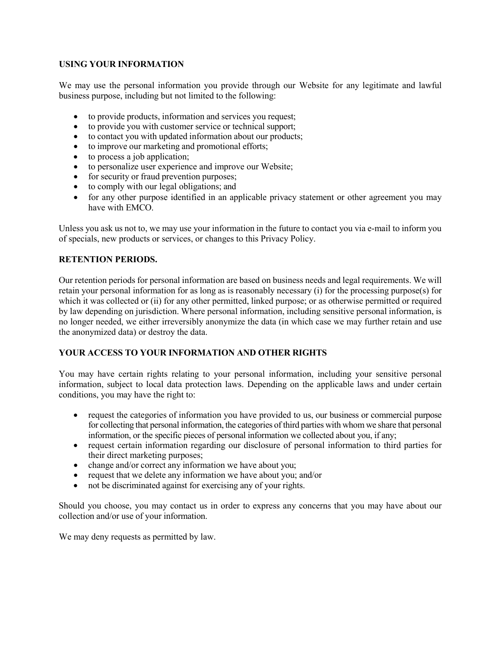## **USING YOUR INFORMATION**

We may use the personal information you provide through our Website for any legitimate and lawful business purpose, including but not limited to the following:

- to provide products, information and services you request;
- to provide you with customer service or technical support;
- to contact you with updated information about our products;
- to improve our marketing and promotional efforts;
- to process a job application;
- to personalize user experience and improve our Website;
- for security or fraud prevention purposes;
- to comply with our legal obligations; and
- for any other purpose identified in an applicable privacy statement or other agreement you may have with EMCO.

Unless you ask us not to, we may use your information in the future to contact you via e-mail to inform you of specials, new products or services, or changes to this Privacy Policy.

## **RETENTION PERIODS.**

Our retention periods for personal information are based on business needs and legal requirements. We will retain your personal information for as long as is reasonably necessary (i) for the processing purpose(s) for which it was collected or (ii) for any other permitted, linked purpose; or as otherwise permitted or required by law depending on jurisdiction. Where personal information, including sensitive personal information, is no longer needed, we either irreversibly anonymize the data (in which case we may further retain and use the anonymized data) or destroy the data.

# **YOUR ACCESS TO YOUR INFORMATION AND OTHER RIGHTS**

You may have certain rights relating to your personal information, including your sensitive personal information, subject to local data protection laws. Depending on the applicable laws and under certain conditions, you may have the right to:

- request the categories of information you have provided to us, our business or commercial purpose for collecting that personal information, the categories of third parties with whom we share that personal information, or the specific pieces of personal information we collected about you, if any;
- request certain information regarding our disclosure of personal information to third parties for their direct marketing purposes;
- change and/or correct any information we have about you;
- request that we delete any information we have about you; and/or
- not be discriminated against for exercising any of your rights.

Should you choose, you may contact us in order to express any concerns that you may have about our collection and/or use of your information.

We may deny requests as permitted by law.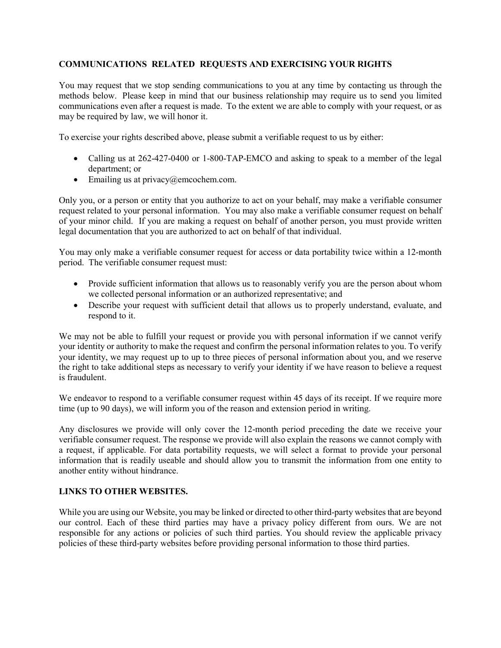## **COMMUNICATIONS RELATED REQUESTS AND EXERCISING YOUR RIGHTS**

You may request that we stop sending communications to you at any time by contacting us through the methods below. Please keep in mind that our business relationship may require us to send you limited communications even after a request is made. To the extent we are able to comply with your request, or as may be required by law, we will honor it.

To exercise your rights described above, please submit a verifiable request to us by either:

- Calling us at 262-427-0400 or 1-800-TAP-EMCO and asking to speak to a member of the legal department; or
- Emailing us at privacy@emcochem.com.

Only you, or a person or entity that you authorize to act on your behalf, may make a verifiable consumer request related to your personal information. You may also make a verifiable consumer request on behalf of your minor child. If you are making a request on behalf of another person, you must provide written legal documentation that you are authorized to act on behalf of that individual.

You may only make a verifiable consumer request for access or data portability twice within a 12-month period. The verifiable consumer request must:

- Provide sufficient information that allows us to reasonably verify you are the person about whom we collected personal information or an authorized representative; and
- Describe your request with sufficient detail that allows us to properly understand, evaluate, and respond to it.

We may not be able to fulfill your request or provide you with personal information if we cannot verify your identity or authority to make the request and confirm the personal information relates to you. To verify your identity, we may request up to up to three pieces of personal information about you, and we reserve the right to take additional steps as necessary to verify your identity if we have reason to believe a request is fraudulent.

We endeavor to respond to a verifiable consumer request within 45 days of its receipt. If we require more time (up to 90 days), we will inform you of the reason and extension period in writing.

Any disclosures we provide will only cover the 12-month period preceding the date we receive your verifiable consumer request. The response we provide will also explain the reasons we cannot comply with a request, if applicable. For data portability requests, we will select a format to provide your personal information that is readily useable and should allow you to transmit the information from one entity to another entity without hindrance.

#### **LINKS TO OTHER WEBSITES.**

While you are using our Website, you may be linked or directed to other third-party websites that are beyond our control. Each of these third parties may have a privacy policy different from ours. We are not responsible for any actions or policies of such third parties. You should review the applicable privacy policies of these third-party websites before providing personal information to those third parties.